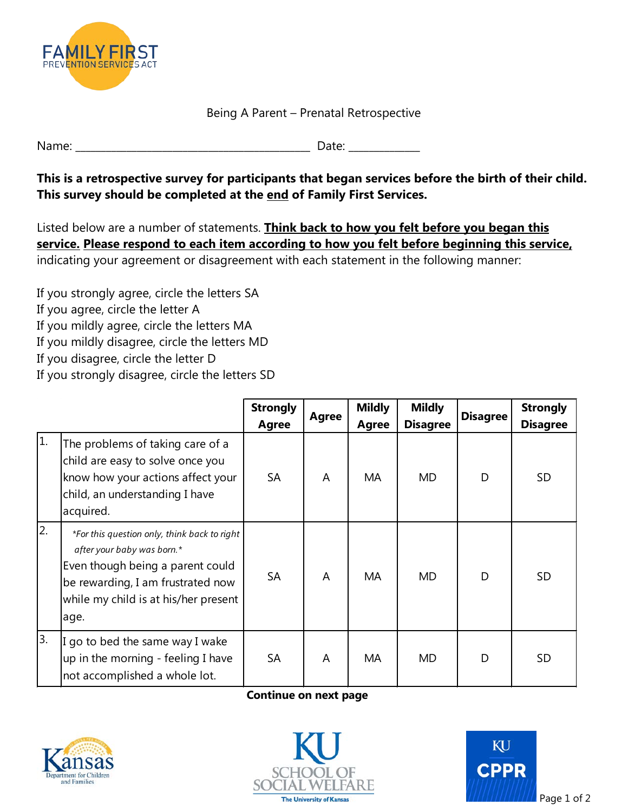

Being A Parent – Prenatal Retrospective

\_\_\_\_\_\_\_\_\_\_\_\_\_\_ Name:  $\Box$ 

## **This is a retrospective survey for participants that began services before the birth of their child. This survey should be completed at the end of Family First Services.**

Listed below are a number of statements. **Think back to how you felt before you began this service. Please respond to each item according to how you felt before beginning this service,**  indicating your agreement or disagreement with each statement in the following manner:

 If you mildly agree, circle the letters MA If you strongly agree, circle the letters SA If you agree, circle the letter A If you mildly disagree, circle the letters MD If you disagree, circle the letter D If you strongly disagree, circle the letters SD

|     |                                                                                                                                                                                                     | <b>Strongly</b><br>Agree | Agree | <b>Mildly</b><br>Agree | <b>Mildly</b><br><b>Disagree</b> | <b>Disagree</b> | <b>Strongly</b><br><b>Disagree</b> |
|-----|-----------------------------------------------------------------------------------------------------------------------------------------------------------------------------------------------------|--------------------------|-------|------------------------|----------------------------------|-----------------|------------------------------------|
| 1.  | The problems of taking care of a<br>child are easy to solve once you<br>know how your actions affect your<br>child, an understanding I have<br>acquired.                                            | <b>SA</b>                | A     | MA                     | MD                               | D               | <b>SD</b>                          |
| 2.  | *For this question only, think back to right<br>after your baby was born.*<br>Even though being a parent could<br>be rewarding, I am frustrated now<br>while my child is at his/her present<br>age. | <b>SA</b>                | A     | MA                     | MD                               | D               | <b>SD</b>                          |
| l3. | I go to bed the same way I wake<br>up in the morning - feeling I have<br>not accomplished a whole lot.                                                                                              | <b>SA</b>                | A     | МA                     | <b>MD</b>                        | D               | <b>SD</b>                          |

## **Continue on next page**







Page 1 of 2